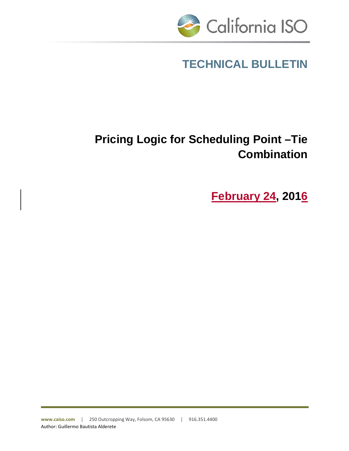

# **TECHNICAL BULLETIN**

# **Pricing Logic for Scheduling Point –Tie Combination**

**February 24, 2016**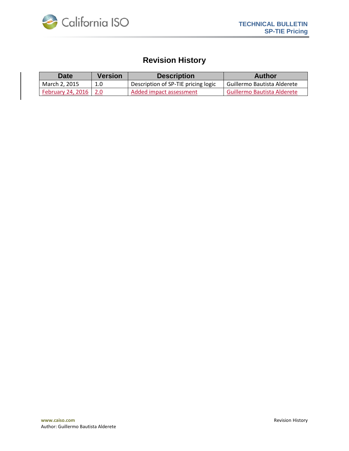

## **Revision History**

| <b>Date</b>              | <b>Version</b> | <b>Description</b>                  | Author                      |
|--------------------------|----------------|-------------------------------------|-----------------------------|
| March 2, 2015            | 1.0            | Description of SP-TIE pricing logic | Guillermo Bautista Alderete |
| <b>February 24, 2016</b> |                | Added impact assessment             | Guillermo Bautista Alderete |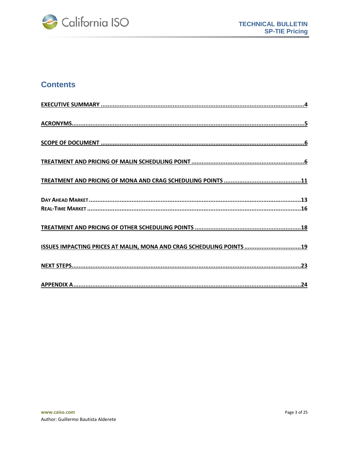

## **Contents**

| ISSUES IMPACTING PRICES AT MALIN, MONA AND CRAG SCHEDULING POINTS 19 |
|----------------------------------------------------------------------|
|                                                                      |
|                                                                      |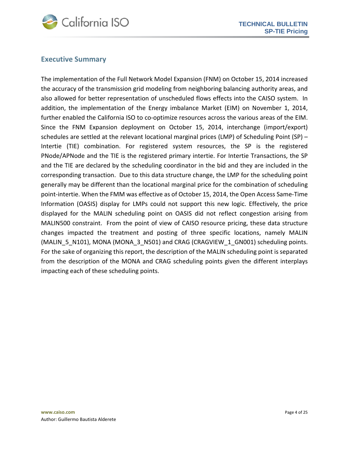

#### <span id="page-3-0"></span>**Executive Summary**

The implementation of the Full Network Model Expansion (FNM) on October 15, 2014 increased the accuracy of the transmission grid modeling from neighboring balancing authority areas, and also allowed for better representation of unscheduled flows effects into the CAISO system. In addition, the implementation of the Energy imbalance Market (EIM) on November 1, 2014, further enabled the California ISO to co-optimize resources across the various areas of the EIM. Since the FNM Expansion deployment on October 15, 2014, interchange (import/export) schedules are settled at the relevant locational marginal prices (LMP) of Scheduling Point (SP) – Intertie (TIE) combination. For registered system resources, the SP is the registered PNode/APNode and the TIE is the registered primary intertie. For Intertie Transactions, the SP and the TIE are declared by the scheduling coordinator in the bid and they are included in the corresponding transaction. Due to this data structure change, the LMP for the scheduling point generally may be different than the locational marginal price for the combination of scheduling point-intertie. When the FMM was effective as of October 15, 2014, the Open Access Same-Time Information (OASIS) display for LMPs could not support this new logic. Effectively, the price displayed for the MALIN scheduling point on OASIS did not reflect congestion arising from MALIN500 constraint. From the point of view of CAISO resource pricing, these data structure changes impacted the treatment and posting of three specific locations, namely MALIN (MALIN\_5\_N101), MONA (MONA\_3\_N501) and CRAG (CRAGVIEW\_1\_GN001) scheduling points. For the sake of organizing this report, the description of the MALIN scheduling point is separated from the description of the MONA and CRAG scheduling points given the different interplays impacting each of these scheduling points.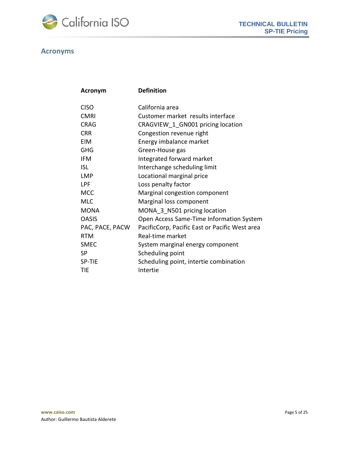

#### <span id="page-4-0"></span>**Acronyms**

| Acronym         | <b>Definition</b>                              |
|-----------------|------------------------------------------------|
| <b>CISO</b>     | California area                                |
| <b>CMRI</b>     | Customer market results interface              |
| <b>CRAG</b>     | CRAGVIEW 1 GN001 pricing location              |
| <b>CRR</b>      | Congestion revenue right                       |
| <b>EIM</b>      | Energy imbalance market                        |
| GHG             | Green-House gas                                |
| <b>IFM</b>      | Integrated forward market                      |
| <b>ISL</b>      | Interchange scheduling limit                   |
| <b>LMP</b>      | Locational marginal price                      |
| <b>LPF</b>      | Loss penalty factor                            |
| <b>MCC</b>      | Marginal congestion component                  |
| <b>MLC</b>      | Marginal loss component                        |
| <b>MONA</b>     | MONA 3_N501 pricing location                   |
| <b>OASIS</b>    | Open Access Same-Time Information System       |
| PAC, PACE, PACW | PacificCorp, Pacific East or Pacific West area |
| <b>RTM</b>      | Real-time market                               |
| <b>SMEC</b>     | System marginal energy component               |
| SP              | Scheduling point                               |
| SP-TIE          | Scheduling point, intertie combination         |
| TIE             | Intertie                                       |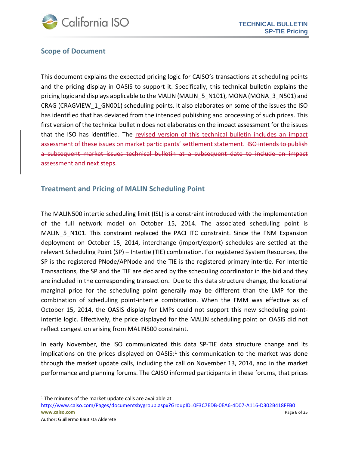

#### <span id="page-5-0"></span>**Scope of Document**

This document explains the expected pricing logic for CAISO's transactions at scheduling points and the pricing display in OASIS to support it. Specifically, this technical bulletin explains the pricing logic and displays applicable to the MALIN (MALIN 5 N101), MONA (MONA 3 N501) and CRAG (CRAGVIEW\_1\_GN001) scheduling points. It also elaborates on some of the issues the ISO has identified that has deviated from the intended publishing and processing of such prices. This first version of the technical bulletin does not elaborates on the impact assessment for the issues that the ISO has identified. The revised version of this technical bulletin includes an impact assessment of these issues on market participants' settlement statement. ISO intends to publish a subsequent market issues technical bulletin at a subsequent date to include an impact assessment and next steps.

#### <span id="page-5-1"></span>**Treatment and Pricing of MALIN Scheduling Point**

The MALIN500 intertie scheduling limit (ISL) is a constraint introduced with the implementation of the full network model on October 15, 2014. The associated scheduling point is MALIN\_5\_N101. This constraint replaced the PACI ITC constraint. Since the FNM Expansion deployment on October 15, 2014, interchange (import/export) schedules are settled at the relevant Scheduling Point (SP) – Intertie (TIE) combination. For registered System Resources, the SP is the registered PNode/APNode and the TIE is the registered primary intertie. For Intertie Transactions, the SP and the TIE are declared by the scheduling coordinator in the bid and they are included in the corresponding transaction. Due to this data structure change, the locational marginal price for the scheduling point generally may be different than the LMP for the combination of scheduling point-intertie combination. When the FMM was effective as of October 15, 2014, the OASIS display for LMPs could not support this new scheduling pointintertie logic. Effectively, the price displayed for the MALIN scheduling point on OASIS did not reflect congestion arising from MALIN500 constraint.

In early November, the ISO communicated this data SP-TIE data structure change and its implications on the prices displayed on  $OASIS$ ;<sup>[1](#page-5-2)</sup> this communication to the market was done through the market update calls, including the call on November 13, 2014, and in the market performance and planning forums. The CAISO informed participants in these forums, that prices

 $\overline{\phantom{a}}$ 

<span id="page-5-2"></span> $<sup>1</sup>$  The minutes of the market update calls are available at</sup>

**www.caiso.com** Page 6 of 25 [http://www.caiso.com/Pages/documentsbygroup.aspx?GroupID=0F3C7EDB](http://www.caiso.com/Pages/documentsbygroup.aspx?GroupID=0F3C7EDB-0EA6-4D07-A116-D302B418FFB0)-0EA6-4D07-A116-D302B418FFB0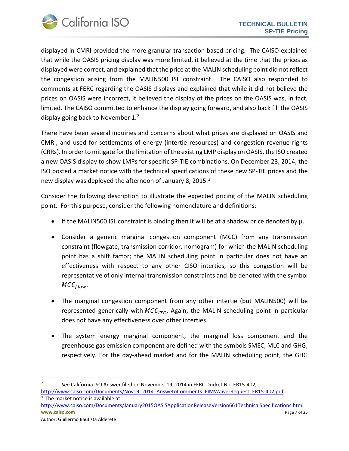

displayed in CMRI provided the more granular transaction based pricing. The CAISO explained that while the OASIS pricing display was more limited, it believed at the time that the prices as displayed were correct, and explained that the price at the MALIN scheduling point did not reflect the congestion arising from the MALIN500 ISL constraint. The CAISO also responded to comments at FERC regarding the OASIS displays and explained that while it did not believe the prices on OASIS were incorrect, it believed the display of the prices on the OASIS was, in fact, limited. The CAISO committed to enhance the display going forward, and also back fill the OASIS display going back to November 1.<sup>[2](#page-6-0)</sup>

There have been several inquiries and concerns about what prices are displayed on OASIS and CMRI, and used for settlements of energy (intertie resources) and congestion revenue rights (CRRs). In order to mitigate for the limitation of the existing LMP display on OASIS, the ISO created a new OASIS display to show LMPs for specific SP-TIE combinations. On December 23, 2014, the ISO posted a market notice with the technical specifications of these new SP-TIE prices and the new display was deployed the afternoon of January 8, 2015.<sup>[3](#page-6-1)</sup>

Consider the following description to illustrate the expected pricing of the MALIN scheduling point. For this purpose, consider the following nomenclature and definitions:

- If the MALIN500 ISL constraint is binding then it will be at a shadow price denoted by  $\mu$ .
- Consider a generic marginal congestion component (MCC) from any transmission constraint (flowgate, transmission corridor, nomogram) for which the MALIN scheduling point has a shift factor; the MALIN scheduling point in particular does not have an effectiveness with respect to any other CISO interties, so this congestion will be representative of only internal transmission constraints and be denoted with the symbol  $MCC_{flow}$ .
- The marginal congestion component from any other intertie (but MALIN500) will be represented generically with  $MCC_{ITC}$ . Again, the MALIN scheduling point in particular does not have any effectiveness over other interties.
- The system energy marginal component, the marginal loss component and the greenhouse gas emission component are defined with the symbols SMEC, MLC and GHG, respectively. For the day-ahead market and for the MALIN scheduling point, the GHG

<span id="page-6-1"></span>**www.caiso.com** Page 7 of 25 Author: Guillermo Bautista Alderete <sup>3</sup> The market notice is available at <http://www.caiso.com/Documents/January2015OASISApplicationReleaseVersion661TechnicalSpecifications.htm>

<span id="page-6-0"></span>l <sup>2</sup> *See* California ISO Answer filed on November 19, 2014 in FERC Docket No. ER15-402, [http://www.caiso.com/Documents/Nov19\\_2014\\_AnswetoComments\\_EIMWaiverRequest\\_ER15](http://www.caiso.com/Documents/Nov19_2014_AnswetoComments_EIMWaiverRequest_ER15-402.pdf)-402.pdf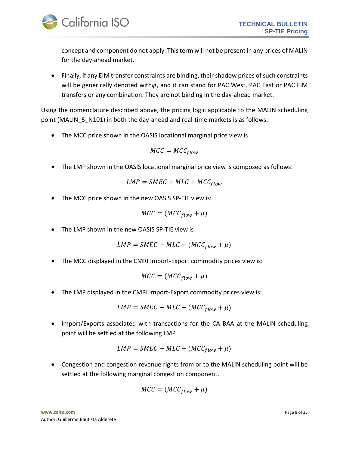

concept and component do not apply. This term will not be present in any prices of MALIN for the day-ahead market.

• Finally, if any EIM transfer constraints are binding, their shadow prices of such constraints will be generically denoted with $\varphi$ , and it can stand for PAC West, PAC East or PAC EIM transfers or any combination. They are not binding in the day-ahead market.

Using the nomenclature described above, the pricing logic applicable to the MALIN scheduling point (MALIN 5 N101) in both the day-ahead and real-time markets is as follows:

• The MCC price shown in the OASIS locational marginal price view is

$$
MCC = MCC_{flow}
$$

• The LMP shown in the OASIS locational marginal price view is composed as follows:

$$
LMP = SMEC + MLC + MCC_{flow}
$$

• The MCC price shown in the new OASIS SP-TIE view is:

$$
MCC = (MCC_{flow} + \mu)
$$

• The LMP shown in the new OASIS SP-TIE view is

$$
LMP = SMEC + MLC + (MCC_{flow} + \mu)
$$

• The MCC displayed in the CMRI Import-Export commodity prices view is:

$$
MCC = (MCC_{flow} + \mu)
$$

• The LMP displayed in the CMRI Import-Export commodity prices view is:

$$
LMP = SMEC + MLC + (MCC_{flow} + \mu)
$$

• Import/Exports associated with transactions for the CA BAA at the MALIN scheduling point will be settled at the following LMP

$$
LMP = SMEC + MLC + (MCC_{flow} + \mu)
$$

• Congestion and congestion revenue rights from or to the MALIN scheduling point will be settled at the following marginal congestion component.

$$
MCC = (MCC_{flow} + \mu)
$$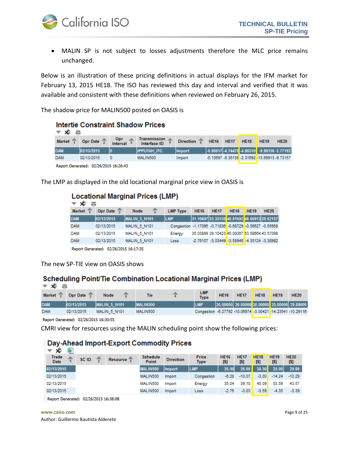

• MALIN SP is not subject to losses adjustments therefore the MLC price remains unchanged.

Below is an illustration of these pricing definitions in actual displays for the IFM market for February 13, 2015 HE18. The ISO has reviewed this day and interval and verified that it was available and consistent with these definitions when reviewed on February 26, 2015.

The shadow price for MALIN500 posted on OASIS is

| <b>Intertie Constraint Shadow Prices</b><br>≂ ≮ |                        |                 |                                     |                  |             |             |             |                                                        |             |  |
|-------------------------------------------------|------------------------|-----------------|-------------------------------------|------------------|-------------|-------------|-------------|--------------------------------------------------------|-------------|--|
| <b>Market</b>                                   | Opr Date $\frac{2}{3}$ | Opr<br>Interval | <b>Transmission</b><br>Interface ID | <b>Direction</b> | <b>HE16</b> | <b>HE17</b> | <b>HE18</b> | <b>HE19</b>                                            | <b>HE20</b> |  |
| <b>DAM</b>                                      | 02/13/2015             | I٥              | <b>IIPPUTAH ITC</b>                 | Import           |             |             |             | $-0.90817$ $-4.74470$ $-4.88310$ $-9.98156$ $-3.77192$ |             |  |
| <b>DAM</b>                                      | 02/13/2015             |                 | MALIN500                            | Import           |             |             |             | -5.10697 -9.35138 -2.31692 -13.66913 -9.73157          |             |  |
| Report Generated: 02/26/2015 16:26:43           |                        |                 |                                     |                  |             |             |             |                                                        |             |  |

The LMP as displayed in the old locational marginal price view in OASIS is

#### **Locational Marginal Prices (LMP)**

| ≂ x≂          |                                       |                                     |                                                         |             |             |                                              |             |             |
|---------------|---------------------------------------|-------------------------------------|---------------------------------------------------------|-------------|-------------|----------------------------------------------|-------------|-------------|
| <b>Market</b> | Opr Date $\sqrt{2}$                   | Node                                | <b>LMP Type</b>                                         | <b>HE16</b> | <b>HE17</b> | <b>HE18</b>                                  | <b>HE19</b> | <b>HE20</b> |
| <b>DAM</b>    | 02/13/2015                            | MALIN <sub>5</sub> N <sub>101</sub> | <b>LMP</b>                                              |             |             | 31.10697 35.35138 40.81692 48.66913 39.62157 |             |             |
| <b>DAM</b>    | 02/13/2015                            | <b>MALIN 5 N101</b>                 | Congestion -1.17095 -0.71836 -0.68729 -0.56627 -0.55958 |             |             |                                              |             |             |
| <b>DAM</b>    | 02/13/2015                            | <b>MALIN 5 N101</b>                 | Energy                                                  |             |             | 35.03899 39.10423 45.09367 53.58664 43.57098 |             |             |
| <b>DAM</b>    | 02/13/2015                            | <b>MALIN 5 N101</b>                 | Loss                                                    |             |             | -2.76107 -3.03449 -3.58946 -4.35124 -3.38982 |             |             |
|               | Ronart Generated: 02/26/2015 16:17:25 |                                     |                                                         |             |             |                                              |             |             |

Report Generated: 02/26/2015 16:17:35

The new SP-TIE view on OASIS shows

#### Scheduling Point/Tie Combination Locational Marginal Prices (LMP)

| <del>⊽ ≮</del> |            |                      |                 |                                                            |             |             |             |             |                                              |
|----------------|------------|----------------------|-----------------|------------------------------------------------------------|-------------|-------------|-------------|-------------|----------------------------------------------|
| <b>Market</b>  | Opr Date   | <b>Node</b>          | <b>Tie</b>      | <b>LMP</b><br><b>Type</b>                                  | <b>HE16</b> | <b>HE17</b> | <b>HE18</b> | <b>HE19</b> | <b>HE20</b>                                  |
| <b>DAM</b>     | 02/13/2015 | <b>IMALIN 5 N101</b> | <b>MALIN500</b> | <b>LMP</b>                                                 |             |             |             |             | 26.00000 26.00000 38.50000 35.00000 29.89000 |
| <b>DAM</b>     | 02/13/2015 | <b>MALIN 5 N101</b>  | MALIN500        | Congestion -6.27792 -10.06974 -3.00421 -14.23541 -10.29116 |             |             |             |             |                                              |
|                |            |                      |                 |                                                            |             |             |             |             |                                              |

Report Generated: 02/26/2015 16:30:55

CMRI view for resources using the MALIN scheduling point show the following prices:

#### Day-Ahead Import-Export Commodity Prices  $-2$   $\pm$   $\overline{81}$

| w                                     |       |            |                          |                  |                             |                    |                     |                    |                     |                    |
|---------------------------------------|-------|------------|--------------------------|------------------|-----------------------------|--------------------|---------------------|--------------------|---------------------|--------------------|
| Trade<br>Date                         | SC ID | Resource T | <b>Schedule</b><br>Point | <b>Direction</b> | <b>Price</b><br><b>Type</b> | <b>HE16</b><br>[5] | <b>HE17</b><br>[\$] | <b>HE18</b><br>[5] | <b>HE19</b><br>[\$] | <b>HE20</b><br>[5] |
| 02/13/2015                            |       |            | MALIN500                 | <b>Import</b>    | <b>LMP</b>                  | 26.00              | 26.00               | 38.50              | 35.00               | 29.89              |
| 02/13/2015                            |       |            | MALIN500                 | Import           | Congestion                  | $-6.28$            | $-10.07$            | $-3.00$            | $-14.24$            | $-10.29$           |
| 02/13/2015                            |       |            | MALIN500                 | Import           | Energy                      | 35.04              | 39.10               | 45.09              | 53.59               | 43.57              |
| 02/13/2015                            |       |            | MALIN500                 | Import           | Loss                        | $-2.76$            | $-3.03$             | $-3.59$            | $-4.35$             | $-3.39$            |
| Report Generated: 02/26/2015 16:38:08 |       |            |                          |                  |                             |                    |                     |                    |                     |                    |

**www.caiso.com** Page 9 of 25 Author: Guillermo Bautista Alderete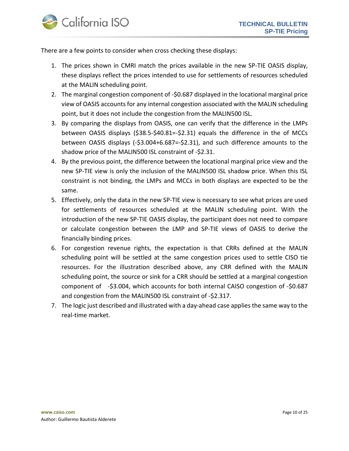

There are a few points to consider when cross checking these displays:

- 1. The prices shown in CMRI match the prices available in the new SP-TIE OASIS display, these displays reflect the prices intended to use for settlements of resources scheduled at the MALIN scheduling point.
- 2. The marginal congestion component of -\$0.687 displayed in the locational marginal price view of OASIS accounts for any internal congestion associated with the MALIN scheduling point, but it does not include the congestion from the MALIN500 ISL.
- 3. By comparing the displays from OASIS, one can verify that the difference in the LMPs between OASIS displays (\$38.5-\$40.81=-\$2.31) equals the difference in the of MCCs between OASIS displays (-\$3.004+6.687=-\$2.31), and such difference amounts to the shadow price of the MALIN500 ISL constraint of -\$2.31.
- 4. By the previous point, the difference between the locational marginal price view and the new SP-TIE view is only the inclusion of the MALIN500 ISL shadow price. When this ISL constraint is not binding, the LMPs and MCCs in both displays are expected to be the same.
- 5. Effectively, only the data in the new SP-TIE view is necessary to see what prices are used for settlements of resources scheduled at the MALIN scheduling point. With the introduction of the new SP-TIE OASIS display, the participant does not need to compare or calculate congestion between the LMP and SP-TIE views of OASIS to derive the financially binding prices.
- 6. For congestion revenue rights, the expectation is that CRRs defined at the MALIN scheduling point will be settled at the same congestion prices used to settle CISO tie resources. For the illustration described above, any CRR defined with the MALIN scheduling point, the source or sink for a CRR should be settled at a marginal congestion component of -\$3.004, which accounts for both internal CAISO congestion of -\$0.687 and congestion from the MALIN500 ISL constraint of -\$2.317.
- 7. The logic just described and illustrated with a day-ahead case applies the same way to the real-time market.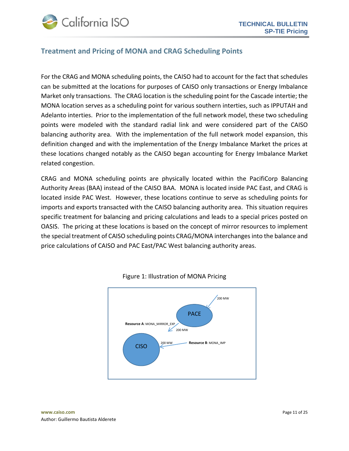

#### <span id="page-10-0"></span>**Treatment and Pricing of MONA and CRAG Scheduling Points**

For the CRAG and MONA scheduling points, the CAISO had to account for the fact that schedules can be submitted at the locations for purposes of CAISO only transactions or Energy Imbalance Market only transactions. The CRAG location is the scheduling point for the Cascade intertie; the MONA location serves as a scheduling point for various southern interties, such as IPPUTAH and Adelanto interties. Prior to the implementation of the full network model, these two scheduling points were modeled with the standard radial link and were considered part of the CAISO balancing authority area. With the implementation of the full network model expansion, this definition changed and with the implementation of the Energy Imbalance Market the prices at these locations changed notably as the CAISO began accounting for Energy Imbalance Market related congestion.

CRAG and MONA scheduling points are physically located within the PacifiCorp Balancing Authority Areas (BAA) instead of the CAISO BAA. MONA is located inside PAC East, and CRAG is located inside PAC West. However, these locations continue to serve as scheduling points for imports and exports transacted with the CAISO balancing authority area. This situation requires specific treatment for balancing and pricing calculations and leads to a special prices posted on OASIS. The pricing at these locations is based on the concept of mirror resources to implement the special treatment of CAISO scheduling points CRAG/MONA interchanges into the balance and price calculations of CAISO and PAC East/PAC West balancing authority areas.



Figure 1: Illustration of MONA Pricing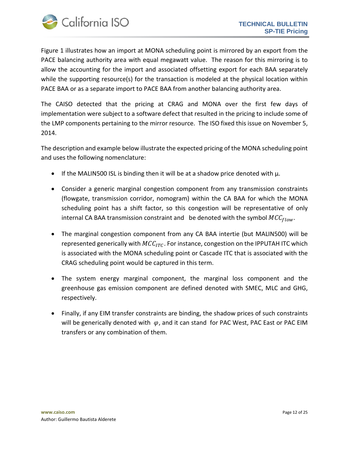

Figure 1 illustrates how an import at MONA scheduling point is mirrored by an export from the PACE balancing authority area with equal megawatt value. The reason for this mirroring is to allow the accounting for the import and associated offsetting export for each BAA separately while the supporting resource(s) for the transaction is modeled at the physical location within PACE BAA or as a separate import to PACE BAA from another balancing authority area.

The CAISO detected that the pricing at CRAG and MONA over the first few days of implementation were subject to a software defect that resulted in the pricing to include some of the LMP components pertaining to the mirror resource. The ISO fixed this issue on November 5, 2014.

The description and example below illustrate the expected pricing of the MONA scheduling point and uses the following nomenclature:

- If the MALIN500 ISL is binding then it will be at a shadow price denoted with  $\mu$ .
- Consider a generic marginal congestion component from any transmission constraints (flowgate, transmission corridor, nomogram) within the CA BAA for which the MONA scheduling point has a shift factor, so this congestion will be representative of only internal CA BAA transmission constraint and be denoted with the symbol  $MCC_{flow}$ .
- The marginal congestion component from any CA BAA intertie (but MALIN500) will be represented generically with  $MCC_{ITC}$ . For instance, congestion on the IPPUTAH ITC which is associated with the MONA scheduling point or Cascade ITC that is associated with the CRAG scheduling point would be captured in this term.
- The system energy marginal component, the marginal loss component and the greenhouse gas emission component are defined denoted with SMEC, MLC and GHG, respectively.
- Finally, if any EIM transfer constraints are binding, the shadow prices of such constraints will be generically denoted with  $\varphi$ , and it can stand for PAC West, PAC East or PAC EIM transfers or any combination of them.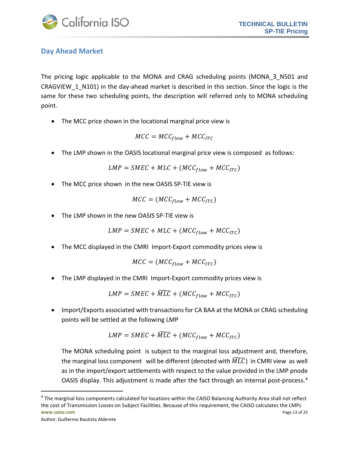

#### <span id="page-12-0"></span>**Day Ahead Market**

The pricing logic applicable to the MONA and CRAG scheduling points (MONA\_3\_N501 and CRAGVIEW\_1\_N101) in the day-ahead market is described in this section. Since the logic is the same for these two scheduling points, the description will referred only to MONA scheduling point.

• The MCC price shown in the locational marginal price view is

$$
MCC = MCC_{flow} + MCC_{ITC}
$$

• The LMP shown in the OASIS locational marginal price view is composed as follows:

$$
LMP = SMEC + MLC + (MCC_{flow} + MCC_{ITC})
$$

• The MCC price shown in the new OASIS SP-TIE view is

$$
MCC = (MCC_{flow} + MCC_{ITC})
$$

• The LMP shown in the new OASIS SP-TIE view is

$$
LMP = SMEC + MLC + (MCC_{flow} + MCC_{ITC})
$$

• The MCC displayed in the CMRI Import-Export commodity prices view is

$$
MCC = (MCC_{flow} + MCC_{ITC})
$$

• The LMP displayed in the CMRI Import-Export commodity prices view is

$$
LMP = SMEC + \widetilde{MLC} + (MCC_{flow} + MCC_{ITC})
$$

• Import/Exports associated with transactions for CA BAA at the MONA or CRAG scheduling points will be settled at the following LMP

$$
LMP = SMEC + \widetilde{MLC} + (MCC_{flow} + MCC_{ITC})
$$

The MONA scheduling point is subject to the marginal loss adjustment and, therefore, the marginal loss component will be different (denoted with  $\overline{MLC}$ ) in CMRI view as well as in the import/export settlements with respect to the value provided in the LMP pnode OASIS display. This adjustment is made after the fact through an internal post-process. [4](#page-12-1)

Author: Guillermo Bautista Alderete

 $\overline{\phantom{a}}$ 

<span id="page-12-1"></span>**www.caiso.com** Page 13 of 25 <sup>4</sup> The marginal loss components calculated for locations within the CAISO Balancing Authority Area shall not reflect the cost of Transmission Losses on Subject Facilities. Because of this requirement, the CAISO calculates the LMPs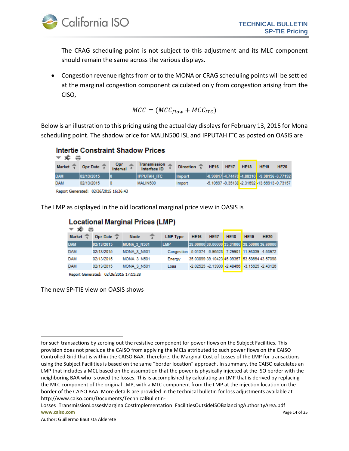

The CRAG scheduling point is not subject to this adjustment and its MLC component should remain the same across the various displays.

• Congestion revenue rights from or to the MONA or CRAG scheduling points will be settled at the marginal congestion component calculated only from congestion arising from the CISO,

$$
MCC = (MCC_{flow} + MCC_{ITC})
$$

Below is an illustration to this pricing using the actual day displays for February 13, 2015 for Mona scheduling point. The shadow price for MALIN500 ISL and IPPUTAH ITC as posted on OASIS are

#### **Intertie Constraint Shadow Prices** شاها

| $\rightarrow$ $\sim$ $\rightarrow$ |                                             |                        |                                     |                          |                  |      |                                                        |             |
|------------------------------------|---------------------------------------------|------------------------|-------------------------------------|--------------------------|------------------|------|--------------------------------------------------------|-------------|
| <b>Market</b>                      | Opr Date $\frac{1}{2}$                      | <b>Opr</b><br>Interval | <b>Transmission</b><br>Interface ID | Direction $\overline{z}$ | <b>HE16 HE17</b> | HE18 | HE19                                                   | <b>HE20</b> |
| <b>DAM</b>                         | 02/13/2015                                  | 10                     | <b>IPPUTAH ITC</b>                  | <b>Import</b>            |                  |      | $-0.90817$ $-4.74470$ $-4.88310$ $-9.98156$ $-3.77192$ |             |
| <b>DAM</b>                         | 02/13/2015                                  |                        | MALIN500                            | Import                   |                  |      | -5.10697 -9.35138 -2.31692 -13.66913 -9.73157          |             |
|                                    | <b>Bened Generated: 03/36/3015 16:36:43</b> |                        |                                     |                          |                  |      |                                                        |             |

Report Generated: 02/26/2015 16:26:43

The LMP as displayed in the old locational marginal price view in OASIS is

| <b>Locational Marginal Prices (LMP)</b><br>хE |                        |                    |                                                          |             |             |                                                    |             |             |  |  |  |  |
|-----------------------------------------------|------------------------|--------------------|----------------------------------------------------------|-------------|-------------|----------------------------------------------------|-------------|-------------|--|--|--|--|
| <b>Market</b>                                 | Opr Date $\frac{2}{3}$ | <b>Node</b>        | <b>LMP Type</b>                                          | <b>HE16</b> | <b>HE17</b> | <b>HE18</b>                                        | <b>HE19</b> | <b>HE20</b> |  |  |  |  |
| <b>DAM</b>                                    | 02/13/2015             | <b>MONA 3 N501</b> | <b>LMP</b>                                               |             |             | 28.00000 30.00000 35.31000 38.50000 36.60000       |             |             |  |  |  |  |
| <b>DAM</b>                                    | 02/13/2015             | <b>MONA 3 N501</b> | Congestion -5.01374 -6.96523 -7.29901 -11.93039 -4.53972 |             |             |                                                    |             |             |  |  |  |  |
| <b>DAM</b>                                    | 02/13/2015             | <b>MONA 3 N501</b> | Energy                                                   |             |             | 35.03899 39.10423 45.09367 53.58664 43.57098       |             |             |  |  |  |  |
| <b>DAM</b>                                    | 02/13/2015             | <b>MONA 3 N501</b> | Loss                                                     |             |             | $-2.02525 - 2.13900 - 2.48466 - 3.15625 - 2.43126$ |             |             |  |  |  |  |
|                                               |                        |                    |                                                          |             |             |                                                    |             |             |  |  |  |  |

Report Generated: 02/26/2015 17:11:28

The new SP-TIE view on OASIS shows

l

for such transactions by zeroing out the resistive component for power flows on the Subject Facilities. This provision does not preclude the CAISO from applying the MCLs attributed to such power flows on the CAISO Controlled Grid that is within the CAISO BAA. Therefore, the Marginal Cost of Losses of the LMP for transactions using the Subject Facilities is based on the same "border location" approach. In summary, the CAISO calculates an LMP that includes a MCL based on the assumption that the power is physically injected at the ISO border with the neighboring BAA who is owed the losses. This is accomplished by calculating an LMP that is derived by replacing the MLC component of the original LMP, with a MLC component from the LMP at the injection location on the border of the CAISO BAA. More details are provided in the technical bulletin for loss adjustments available at http://www.caiso.com/Documents/TechnicalBulletin-

**www.caiso.com** Page 14 of 25 Losses\_TransmissionLossesMarginalCostImplementation\_FacilitiesOutsideISOBalancingAuthorityArea.pdf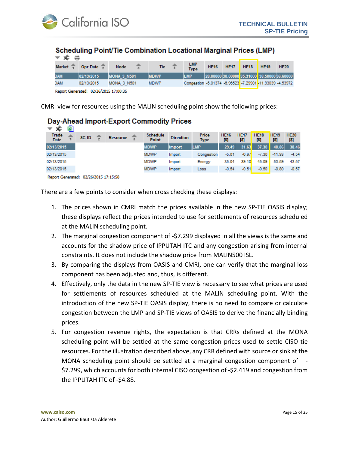

#### Scheduling Point/Tie Combination Locational Marginal Prices (LMP)

| $\mathbf{v}$ $\mathbf{x}$ |            |                    |             |                                                          |             |             |             |                                                 |             |
|---------------------------|------------|--------------------|-------------|----------------------------------------------------------|-------------|-------------|-------------|-------------------------------------------------|-------------|
| Market <sup>*</sup>       | Opr Date 7 | <b>Node</b>        | <b>Tie</b>  | <b>LMP</b><br><b>Type</b>                                | <b>HE16</b> | <b>HE17</b> | <b>HE18</b> | <b>HE19</b>                                     | <b>HE20</b> |
| <b>MAD</b>                | 02/13/2015 | <b>MONA 3 N501</b> | <b>MDWP</b> | <b>LMP</b>                                               |             |             |             | $28.00000 30.00000 35.31000 38.50000 36.60000 $ |             |
| DAM                       | 02/13/2015 | <b>MONA 3 N501</b> | <b>MDWP</b> | Congestion -5.01374 -6.96523 -7.29901 -11.93039 -4.53972 |             |             |             |                                                 |             |
|                           |            |                    |             |                                                          |             |             |             |                                                 |             |

Report Generated: 02/26/2015 17:00:35

CMRI view for resources using the MALIN scheduling point show the following prices:

### Day-Ahead Import-Export Commodity Prices

| ۰Ê<br>▼                        | ⊡     |                 |                          |                  |                             |                    |                    |                    |                    |                    |
|--------------------------------|-------|-----------------|--------------------------|------------------|-----------------------------|--------------------|--------------------|--------------------|--------------------|--------------------|
| Trade<br><b>Date</b>           | SC ID | <b>Resource</b> | <b>Schedule</b><br>Point | <b>Direction</b> | <b>Price</b><br><b>Type</b> | <b>HE16</b><br>[5] | <b>HE17</b><br>[5] | <b>HE18</b><br>[5] | <b>HE19</b><br>[5] | <b>HE20</b><br>[5] |
| 02/13/2015                     |       |                 | <b>MDWP</b>              | <b>Import</b>    | <b>LMP</b>                  | 29.49              | 31.63              | 37.30              | 40.86              | 38.46              |
| 02/13/2015                     |       |                 | MDWP                     | Import           | Congestion                  | $-5.01$            | $-6.97$            | $-7.30$            | $-11.93$           | $-4.54$            |
| 02/13/2015                     |       |                 | <b>MDWP</b>              | Import           | Energy                      | 35.04              | 39.10              | 45.09              | 53.59              | 43.57              |
| 02/13/2015                     |       |                 | <b>MDWP</b>              | Import           | Loss                        | $-0.54$            | $-0.51$            | $-0.50$            | $-0.80$            | $-0.57$            |
| a ca climate de característica |       |                 |                          |                  |                             |                    |                    |                    |                    |                    |

Report Generated: 02/26/2015 17:15:58

There are a few points to consider when cross checking these displays:

- 1. The prices shown in CMRI match the prices available in the new SP-TIE OASIS display; these displays reflect the prices intended to use for settlements of resources scheduled at the MALIN scheduling point.
- 2. The marginal congestion component of -\$7.299 displayed in all the views is the same and accounts for the shadow price of IPPUTAH ITC and any congestion arising from internal constraints. It does not include the shadow price from MALIN500 ISL.
- 3. By comparing the displays from OASIS and CMRI, one can verify that the marginal loss component has been adjusted and, thus, is different.
- 4. Effectively, only the data in the new SP-TIE view is necessary to see what prices are used for settlements of resources scheduled at the MALIN scheduling point. With the introduction of the new SP-TIE OASIS display, there is no need to compare or calculate congestion between the LMP and SP-TIE views of OASIS to derive the financially binding prices.
- 5. For congestion revenue rights, the expectation is that CRRs defined at the MONA scheduling point will be settled at the same congestion prices used to settle CISO tie resources. For the illustration described above, any CRR defined with source or sink at the MONA scheduling point should be settled at a marginal congestion component of - \$7.299, which accounts for both internal CISO congestion of -\$2.419 and congestion from the IPPUTAH ITC of -\$4.88.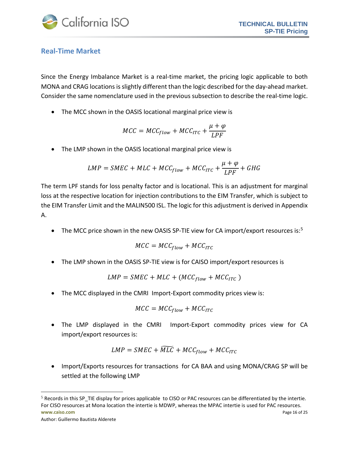

#### <span id="page-15-0"></span>**Real-Time Market**

Since the Energy Imbalance Market is a real-time market, the pricing logic applicable to both MONA and CRAG locations is slightly different than the logic described for the day-ahead market. Consider the same nomenclature used in the previous subsection to describe the real-time logic.

• The MCC shown in the OASIS locational marginal price view is

$$
MCC = MCC_{flow} + MCC_{ITC} + \frac{\mu + \varphi}{LPF}
$$

• The LMP shown in the OASIS locational marginal price view is

$$
LMP = SMEC + MLC + MCC_{flow} + MCC_{ITC} + \frac{\mu + \varphi}{LPF} + GHG
$$

The term LPF stands for loss penalty factor and is locational. This is an adjustment for marginal loss at the respective location for injection contributions to the EIM Transfer, which is subject to the EIM Transfer Limit and the MALIN500 ISL. The logic for this adjustment is derived in Appendix A.

• The MCC price shown in the new OASIS SP-TIE view for CA import/export resources is: $5$ 

$$
MCC = MCC_{flow} + MCC_{ITC}
$$

• The LMP shown in the OASIS SP-TIE view is for CAISO import/export resources is

$$
LMP = SMEC + MLC + (MCC_{flow} + MCC_{ITC})
$$

• The MCC displayed in the CMRI Import-Export commodity prices view is:

$$
MCC = MCC_{flow} + MCC_{ITC}
$$

• The LMP displayed in the CMRI Import-Export commodity prices view for CA import/export resources is:

$$
LMP = SMEC + \widetilde{MLC} + MCC_{flow} + MCC_{ITC}
$$

• Import/Exports resources for transactions for CA BAA and using MONA/CRAG SP will be settled at the following LMP

 $\overline{\phantom{a}}$ 

<span id="page-15-1"></span>**www.caiso.com** Page 16 of 25  $<sup>5</sup>$  Records in this SP\_TIE display for prices applicable to CISO or PAC resources can be differentiated by the intertie.</sup> For CISO resources at Mona location the intertie is MDWP, whereas the MPAC intertie is used for PAC resources.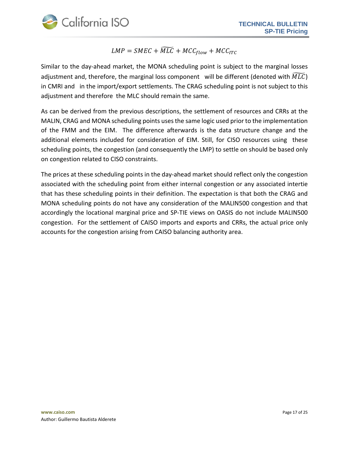

## $\mathit{LMP} = \mathit{SMEC} + \mathit{MLC} + \mathit{MCC}_{flow} + \mathit{MCC}_{ITC}$

Similar to the day-ahead market, the MONA scheduling point is subject to the marginal losses adjustment and, therefore, the marginal loss component will be different (denoted with  $MLC$ ) in CMRI and in the import/export settlements. The CRAG scheduling point is not subject to this adjustment and therefore the MLC should remain the same.

As can be derived from the previous descriptions, the settlement of resources and CRRs at the MALIN, CRAG and MONA scheduling points usesthe same logic used prior to the implementation of the FMM and the EIM. The difference afterwards is the data structure change and the additional elements included for consideration of EIM. Still, for CISO resources using these scheduling points, the congestion (and consequently the LMP) to settle on should be based only on congestion related to CISO constraints.

The prices at these scheduling points in the day-ahead market should reflect only the congestion associated with the scheduling point from either internal congestion or any associated intertie that has these scheduling points in their definition. The expectation is that both the CRAG and MONA scheduling points do not have any consideration of the MALIN500 congestion and that accordingly the locational marginal price and SP-TIE views on OASIS do not include MALIN500 congestion. For the settlement of CAISO imports and exports and CRRs, the actual price only accounts for the congestion arising from CAISO balancing authority area.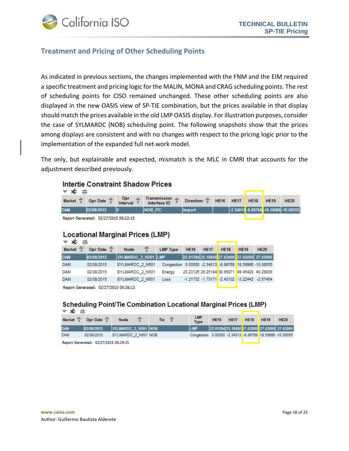

#### <span id="page-17-0"></span>**Treatment and Pricing of Other Scheduling Points**

As indicated in previous sections, the changes implemented with the FNM and the EIM required a specific treatment and pricing logic for the MALIN, MONA and CRAG scheduling points. The rest of scheduling points for CISO remained unchanged. These other scheduling points are also displayed in the new OASIS view of SP-TIE combination, but the prices available in that display should match the prices available in the old LMP OASIS display. For illustration purposes, consider the case of SYLMARDC (NOB) scheduling point. The following snapshots show that the prices among displays are consistent and with no changes with respect to the pricing logic prior to the implementation of the expanded full net-work model.

The only, but explainable and expected, mismatch is the MLC in CMRI that accounts for the adjustment described previously.

#### **Intertie Constraint Shadow Prices**

| <b>▼ ≉ ≑</b>          |                                       |                     |                                     |                                 |  |  |                                          |
|-----------------------|---------------------------------------|---------------------|-------------------------------------|---------------------------------|--|--|------------------------------------------|
| Market $\overline{1}$ | Opr Date $\frac{2}{2}$                | $\frac{0}{\pi}$ opr | <b>Transmission</b><br>Interface ID | Direction 5 HE16 HE17 HE18 HE19 |  |  | <b>HE20</b>                              |
| <b>DAM</b>            | 02/08/2015                            |                     | INOB ITC                            | <b>Ilmport</b>                  |  |  | $-.2.34013-.8.89768-.18.59986-.10.08555$ |
|                       | Report Generated: 02/27/2015 05:22:15 |                     |                                     |                                 |  |  |                                          |

#### **Locational Marginal Prices (LMP)**

| $\infty$                              |            |                     |  |                                                         |             |             |                                                    |             |                                              |  |  |
|---------------------------------------|------------|---------------------|--|---------------------------------------------------------|-------------|-------------|----------------------------------------------------|-------------|----------------------------------------------|--|--|
| <b>Market</b>                         | Opr Date 5 | Node                |  | <b>LMP Type</b>                                         | <b>HE16</b> | <b>HE17</b> | <b>HE18</b>                                        | <b>HE19</b> | <b>HE20</b>                                  |  |  |
| <b>DAM</b>                            | 02/08/2015 | SYLMARDC 2 N501 LMP |  |                                                         |             |             |                                                    |             | 22.01394 25.18000 27.63000 27.63000 27.63000 |  |  |
| <b>DAM</b>                            | 02/08/2015 | SYLMARDC 2 N501     |  | Congestion 0.00000 -2.34013 -8.89768 18.59986 -10.08555 |             |             |                                                    |             |                                              |  |  |
| <b>DAM</b>                            | 02/08/2015 | SYLMARDC 2 N501     |  | Energy                                                  |             |             |                                                    |             | 23.23126 29.25184 38.95871 49.45428 40.29009 |  |  |
| <b>DAM</b>                            | 02/08/2015 | SYLMARDC 2 N501     |  | Loss                                                    |             |             | $-1.21732 - 1.73171 - 2.43102 - 3.22442 - 2.57454$ |             |                                              |  |  |
| Report Generated: 02/27/2015 05:26:13 |            |                     |  |                                                         |             |             |                                                    |             |                                              |  |  |

#### **Scheduling Point/Tie Combination Locational Marginal Prices (LMP)**

| $\mathbf{v}$ $\mathbf{x}$ $\mathbf{v}$ |                        |                            |  |  |            |  |                                                           |             |             |             |             |                                              |
|----------------------------------------|------------------------|----------------------------|--|--|------------|--|-----------------------------------------------------------|-------------|-------------|-------------|-------------|----------------------------------------------|
| <b>Market</b>                          | Opr Date $\frac{1}{2}$ | Node                       |  |  | <b>Tie</b> |  | <b>LMP</b><br><b>Type</b>                                 | <b>HE16</b> | <b>HE17</b> | <b>HE18</b> | <b>HE19</b> | <b>HE20</b>                                  |
| <b>DAM</b>                             | 02/08/2015             | <b>SYLMARDC 2 N501 NOB</b> |  |  |            |  | <b>LMP</b>                                                |             |             |             |             | 22.01394 25.18000 27.63000 27.63000 27.63000 |
| <b>DAM</b>                             | 02/08/2015             | SYLMARDC 2 N501 NOB        |  |  |            |  | Congestion  0.00000 -2.34013 -8.89768 -18.59986 -10.08555 |             |             |             |             |                                              |
| Report Generated: 02/27/2015 05:29:31  |                        |                            |  |  |            |  |                                                           |             |             |             |             |                                              |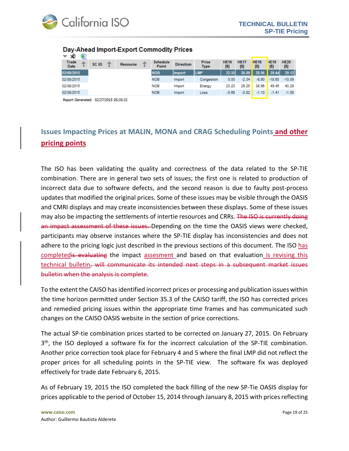

| ---<br>ХF<br>▼       |       |                              |                          |                  |                             |                    |                     |                     |                    |                    |
|----------------------|-------|------------------------------|--------------------------|------------------|-----------------------------|--------------------|---------------------|---------------------|--------------------|--------------------|
| Trade<br><b>Date</b> | SC ID | <b>Resource</b>              | <b>Schedule</b><br>Point | <b>Direction</b> | <b>Price</b><br><b>Type</b> | <b>HE16</b><br>[5] | <b>HE17</b><br>[\$] | <b>HE18</b><br>[\$] | <b>HE19</b><br>[5] | <b>HE20</b><br>[5] |
| 02/08/2015           |       |                              | <b>NOB</b>               | <b>Import</b>    | <b>IILMP</b>                | 22.55              | 26.09               | 28.96               | 29.44              | 29.12              |
| 02/08/2015           |       |                              | <b>NOB</b>               | Import           | Congestion                  | 0.00               | $-2.34$             | $-8.90$             | $-18.60$           | $-10.09$           |
| 02/08/2015           |       |                              | <b>NOB</b>               | Import           | Energy                      | 23.23              | 29.25               | 38.96               | 49.45              | 40.29              |
| 02/08/2015           |       |                              | <b>NOB</b>               | Import           | Loss                        | $-0.68$            | $-0.82$             | $-1.10$             | $-1.41$            | $-1.08$            |
|                      |       | and the decision of the con- |                          |                  |                             |                    |                     |                     |                    |                    |

#### Day-Ahead Import-Export Commodity Prices

Report Generated: 02/27/2015 05:35:32

## <span id="page-18-0"></span>**Issues Impacting Prices at MALIN, MONA and CRAG Scheduling Points and other pricing points**

The ISO has been validating the quality and correctness of the data related to the SP-TIE combination. There are in general two sets of issues; the first one is related to production of incorrect data due to software defects, and the second reason is due to faulty post-process updates that modified the original prices. Some of these issues may be visible through the OASIS and CMRI displays and may create inconsistencies between these displays. Some of these issues may also be impacting the settlements of intertie resources and CRRs. The ISO is currently doing an impact assessment of these issues. Depending on the time the OASIS views were checked, participants may observe instances where the SP-TIE display has inconsistencies and does not adhere to the pricing logic just described in the previous sections of this document. The ISO has completedis evaluating the impact assesment and based on that evaluation is revising this technical bulletin, will communicate its intended next steps in a subsequent market issues bulletin when the analysis is complete.

To the extent the CAISO has identified incorrect prices or processing and publication issues within the time horizon permitted under Section 35.3 of the CAISO tariff, the ISO has corrected prices and remedied pricing issues within the appropriate time frames and has communicated such changes on the CAISO OASIS website in the section of price corrections.

The actual SP-tie combination prices started to be corrected on January 27, 2015. On February 3<sup>th</sup>, the ISO deployed a software fix for the incorrect calculation of the SP-TIE combination. Another price correction took place for February 4 and 5 where the final LMP did not reflect the proper prices for all scheduling points in the SP-TIE view. The software fix was deployed effectively for trade date February 6, 2015.

As of February 19, 2015 the ISO completed the back filling of the new SP-Tie OASIS display for prices applicable to the period of October 15, 2014 through January 8, 2015 with prices reflecting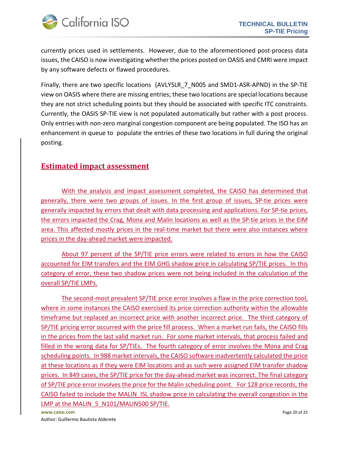

currently prices used in settlements. However, due to the aforementioned post-process data issues, the CAISO is now investigating whether the prices posted on OASIS and CMRI were impact by any software defects or flawed procedures.

Finally, there are two specific locations (AVLYSLR 7 N005 and SMD1-ASR-APND) in the SP-TIE view on OASIS where there are missing entries; these two locations are special locations because they are not strict scheduling points but they should be associated with specific ITC constraints. Currently, the OASIS SP-TIE view is not populated automatically but rather with a post process. Only entries with non-zero marginal congestion component are being populated. The ISO has an enhancement in queue to populate the entries of these two locations in full during the original posting.

### **Estimated impact assessment**

With the analysis and impact assessment completed, the CAISO has determined that generally, there were two groups of issues. In the first group of issues, SP-tie prices were generally impacted by errors that dealt with data processing and applications. For SP-tie prices, the errors impacted the Crag, Mona and Malin locations as well as the SP-tie prices in the EIM area. This affected mostly prices in the real-time market but there were also instances where prices in the day-ahead market were impacted.

About 97 percent of the SP/TIE price errors were related to errors in how the CAISO accounted for EIM transfers and the EIM GHG shadow price in calculating SP/TIE prices. In this category of error, these two shadow prices were not being included in the calculation of the overall SP/TIE LMPs.

The second-most prevalent SP/TIE price error involves a flaw in the price correction tool, where in some instances the CAISO exercised its price correction authority within the allowable timeframe but replaced an incorrect price with another incorrect price. The third category of SP/TIE pricing error occurred with the price fill process. When a market run fails, the CAISO fills in the prices from the last valid market run. For some market intervals, that process failed and filled in the wrong data for SP/TIEs. The fourth category of error involves the Mona and Crag scheduling points. In 988 market intervals, the CAISO software inadvertently calculated the price at these locations as if they were EIM locations and as such were assigned EIM transfer shadow prices. In 849 cases, the SP/TIE price for the day-ahead market was incorrect. The final category of SP/TIE price error involves the price for the Malin scheduling point. For 128 price records, the CAISO failed to include the MALIN\_ISL shadow price in calculating the overall congestion in the LMP at the MALIN 5 N101/MALIN500 SP/TIE.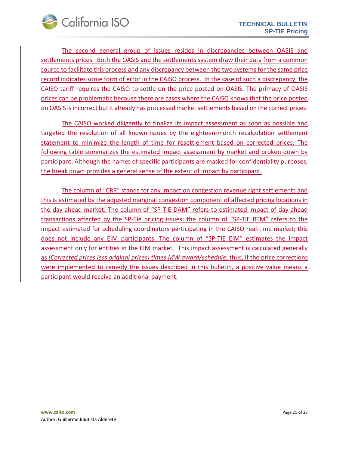

The second general group of issues resides in discrepancies between OASIS and settlements prices. Both the OASIS and the settlements system draw their data from a common source to facilitate this process and any discrepancy between the two systems for the same price record indicates some form of error in the CAISO process. In the case of such a discrepancy, the CAISO tariff requires the CAISO to settle on the price posted on OASIS. The primacy of OASIS prices can be problematic because there are cases where the CAISO knows that the price posted on OASIS is incorrect but it already has processed market settlements based on the correct prices.

The CAISO worked diligently to finalize its impact assessment as soon as possible and targeted the resolution of all known issues by the eighteen-month recalculation settlement statement to minimize the length of time for resettlement based on corrected prices. The following table summarizes the estimated impact assessment by market and broken down by participant. Although the names of specific participants are masked for confidentiality purposes, the break down provides a general sense of the extent of impact by participant.

The column of "CRR" stands for any impact on congestion revenue right settlements and this is estimated by the adjusted marginal congestion component of affected pricing locations in the day-ahead market. The column of "SP-TIE DAM" refers to estimated impact of day-ahead transactions affected by the SP-Tie pricing issues; the column of "SP-TIE RTM" refers to the impact estimated for scheduling coordinators participating in the CAISO real-time market; this does not include any EIM participants. The column of "SP-TIE EIM" estimates the impact assessment only for entities in the EIM market. This impact assessment is calculated generally as *(Corrected prices less original prices) times MW award/schedule*; thus, if the price corrections were implemented to remedy the issues described in this bulletin, a positive value means a participant would receive an additional payment.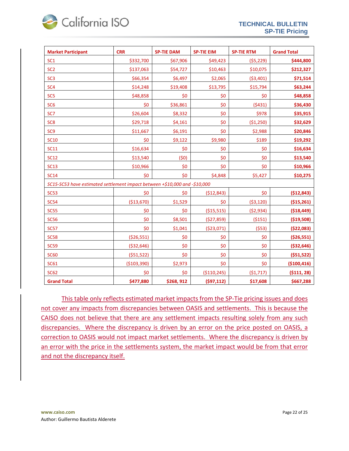

| <b>Market Participant</b>                                                  | <b>CRR</b>    | <b>SP-TIE DAM</b> | <b>SP-TIE EIM</b> | <b>SP-TIE RTM</b> | <b>Grand Total</b> |
|----------------------------------------------------------------------------|---------------|-------------------|-------------------|-------------------|--------------------|
| SC <sub>1</sub>                                                            | \$332,700     | \$67,906          | \$49,423          | (55, 229)         | \$444,800          |
| SC <sub>2</sub>                                                            | \$137,063     | \$54,727          | \$10,463          | \$10,075          | \$212,327          |
| SC <sub>3</sub>                                                            | \$66,354      | \$6,497           | \$2,065           | ( \$3,401)        | \$71,514           |
| SC <sub>4</sub>                                                            | \$14,248      | \$19,408          | \$13,795          | \$15,794          | \$63,244           |
| SC <sub>5</sub>                                                            | \$48,858      | \$0               | \$0               | \$0               | \$48,858           |
| SC <sub>6</sub>                                                            | \$0           | \$36,861          | \$0               | (5431)            | \$36,430           |
| SC7                                                                        | \$26,604      | \$8,332           | \$0               | \$978             | \$35,915           |
| SC <sub>8</sub>                                                            | \$29,718      | \$4,161           | \$0               | (\$1,250)         | \$32,629           |
| SC <sub>9</sub>                                                            | \$11,667      | \$6,191           | \$0               | \$2,988           | \$20,846           |
| <b>SC10</b>                                                                | \$0           | \$9,122           | \$9,980           | \$189             | \$19,292           |
| <b>SC11</b>                                                                | \$16,634      | \$0               | \$0               | \$0               | \$16,634           |
| <b>SC12</b>                                                                | \$13,540      | (50)              | \$0               | \$0               | \$13,540           |
| <b>SC13</b>                                                                | \$10,966      | \$0               | \$0               | \$0               | \$10,966           |
| <b>SC14</b>                                                                | \$0           | \$0               | \$4,848           | \$5,427           | \$10,275           |
| SC15-SC53 have estimated settlement impact between +\$10,000 and -\$10,000 |               |                   |                   |                   |                    |
| <b>SC53</b>                                                                | \$0           | \$0               | (\$12,843)        | \$0               | (\$12,843)         |
| <b>SC54</b>                                                                | (\$13,670)    | \$1,529           | \$0               | ( \$3,120)        | (\$15,261)         |
| <b>SC55</b>                                                                | \$0           | \$0               | ( \$15,515)       | (52, 934)         | (\$18,449)         |
| <b>SC56</b>                                                                | \$0           | \$8,501           | (\$27,859)        | (5151)            | ( \$19,508)        |
| <b>SC57</b>                                                                | \$0           | \$1,041           | ( \$23,071)       | (553)             | ( \$22,083)        |
| <b>SC58</b>                                                                | ( \$26,551)   | \$0               | \$0               | \$0               | ( \$26,551)        |
| <b>SC59</b>                                                                | ( \$32, 646)  | \$0               | \$0               | \$0               | ( \$32, 646)       |
| <b>SC60</b>                                                                | (551, 522)    | \$0               | \$0               | \$0               | (551, 522)         |
| <b>SC61</b>                                                                | ( \$103, 390) | \$2,973           | \$0               | \$0               | (\$100,416)        |
| <b>SC62</b>                                                                | \$0           | \$0               | ( \$110, 245)     | (\$1,717)         | (5111, 28)         |
| <b>Grand Total</b>                                                         | \$477,880     | \$268,912         | (597, 112)        | \$17,608          | \$667,288          |

This table only reflects estimated market impacts from the SP-Tie pricing issues and does not cover any impacts from discrepancies between OASIS and settlements. This is because the CAISO does not believe that there are any settlement impacts resulting solely from any such discrepancies. Where the discrepancy is driven by an error on the price posted on OASIS, a correction to OASIS would not impact market settlements. Where the discrepancy is driven by an error with the price in the settlements system, the market impact would be from that error and not the discrepancy itself.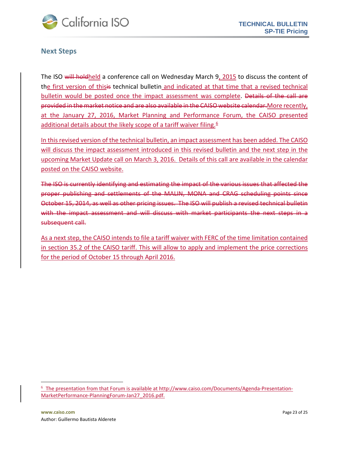

#### <span id="page-22-0"></span>**Next Steps**

The ISO will hold held a conference call on Wednesday March 9, 2015 to discuss the content of the first version of thisis technical bulletin and indicated at that time that a revised technical bulletin would be posted once the impact assessment was complete. Details of the call are provided in the market notice and are also available in the CAISO website calendar.More recently, at the January 27, 2016, Market Planning and Performance Forum, the CAISO presented additional details about the likely scope of a tariff waiver filing.<sup>[6](#page-22-1)</sup>

In this revised version of the technical bulletin, an impact assessment has been added. The CAISO will discuss the impact assessment introduced in this revised bulletin and the next step in the upcoming Market Update call on March 3, 2016. Details of this call are available in the calendar posted on the CAISO website.

The ISO is currently identifying and estimating the impact of the various issues that affected the proper publishing and settlements of the MALIN, MONA and CRAG scheduling points since October 15, 2014, as well as other pricing issues. The ISO will publish a revised technical bulletin with the impact assessment and will discuss with market participants the next steps in a subsequent call.

As a next step, the CAISO intends to file a tariff waiver with FERC of the time limitation contained in section 35.2 of the CAISO tariff. This will allow to apply and implement the price corrections for the period of October 15 through April 2016.

 $\overline{\phantom{a}}$ 

<span id="page-22-1"></span><sup>6</sup> The presentation from that Forum is available at [http://www.caiso.com/Documents/Agenda](http://www.caiso.com/Documents/Agenda-Presentation-MarketPerformance-PlanningForum-Jan27_2016.pdf)-Presentation-[MarketPerformance](http://www.caiso.com/Documents/Agenda-Presentation-MarketPerformance-PlanningForum-Jan27_2016.pdf)-PlanningForum-Jan27\_2016.pdf.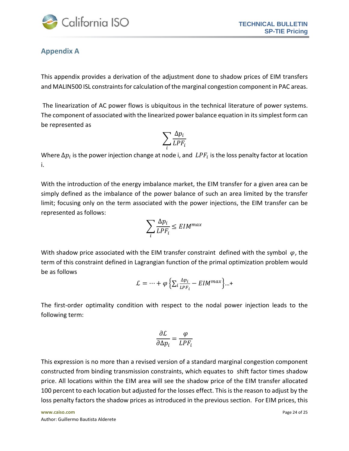

### <span id="page-23-0"></span>**Appendix A**

This appendix provides a derivation of the adjustment done to shadow prices of EIM transfers and MALIN500 ISL constraints for calculation of the marginal congestion component in PAC areas.

The linearization of AC power flows is ubiquitous in the technical literature of power systems. The component of associated with the linearized power balance equation in its simplest form can be represented as

$$
\sum_{i} \frac{\Delta p_i}{LPF_i}
$$

Where  $\Delta p_i$  is the power injection change at node i, and  $LPF_i$  is the loss penalty factor at location i.

With the introduction of the energy imbalance market, the EIM transfer for a given area can be simply defined as the imbalance of the power balance of such an area limited by the transfer limit; focusing only on the term associated with the power injections, the EIM transfer can be represented as follows:

$$
\sum_{i} \frac{\Delta p_i}{LPF_i} \leq EIM^{max}
$$

With shadow price associated with the EIM transfer constraint defined with the symbol  $\varphi$ , the term of this constraint defined in Lagrangian function of the primal optimization problem would be as follows

$$
\mathcal{L} = \dots + \varphi \left\{ \sum_{i} \frac{\Delta p_i}{LPF_i} - EIM^{max} \right\} \dots +
$$

The first-order optimality condition with respect to the nodal power injection leads to the following term:

$$
\frac{\partial \mathcal{L}}{\partial \Delta p_i} = \frac{\varphi}{LPF_i}
$$

This expression is no more than a revised version of a standard marginal congestion component constructed from binding transmission constraints, which equates to shift factor times shadow price. All locations within the EIM area will see the shadow price of the EIM transfer allocated 100 percent to each location but adjusted for the losses effect. This is the reason to adjust by the loss penalty factors the shadow prices as introduced in the previous section. For EIM prices, this